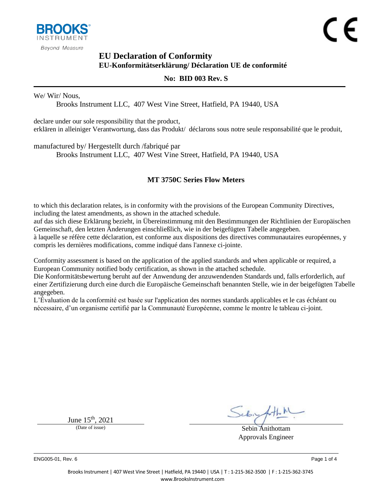

### **EU Declaration of Conformity EU-Konformitätserklärung/ Déclaration UE de conformité**

#### <span id="page-0-1"></span><span id="page-0-0"></span>**No: BID 003 Rev. S**

#### We/ Wir/ Nous,

Brooks Instrument LLC, 407 West Vine Street, Hatfield, PA 19440, USA

declare under our sole responsibility that the product, erklären in alleiniger Verantwortung, dass das Produkt/ déclarons sous notre seule responsabilité que le produit,

manufactured by/ Hergestellt durch /fabriqué par

Brooks Instrument LLC, 407 West Vine Street, Hatfield, PA 19440, USA

#### <span id="page-0-2"></span>**MT 3750C Series Flow Meters**

to which this declaration relates, is in conformity with the provisions of the European Community Directives, including the latest amendments, as shown in the attached schedule.

auf das sich diese Erklärung bezieht, in Übereinstimmung mit den Bestimmungen der Richtlinien der Europäischen Gemeinschaft, den letzten Änderungen einschließlich, wie in der beigefügten Tabelle angegeben.

à laquelle se réfère cette déclaration, est conforme aux dispositions des directives communautaires européennes, y compris les dernières modifications, comme indiqué dans l'annexe ci-jointe.

Conformity assessment is based on the application of the applied standards and when applicable or required, a European Community notified body certification, as shown in the attached schedule.

Die Konformitätsbewertung beruht auf der Anwendung der anzuwendenden Standards und, falls erforderlich, auf einer Zertifizierung durch eine durch die Europäische Gemeinschaft benannten Stelle, wie in der beigefügten Tabelle angegeben.

L'Évaluation de la conformité est basée sur l'application des normes standards applicables et le cas échéant ou nécessaire, d'un organisme certifié par la Communauté Européenne, comme le montre le tableau ci-joint.

June 15<sup>th</sup>, 2021

Sebin Anithottam Approvals Engineer

ENG005-01, Rev. 6 Page 1 of 4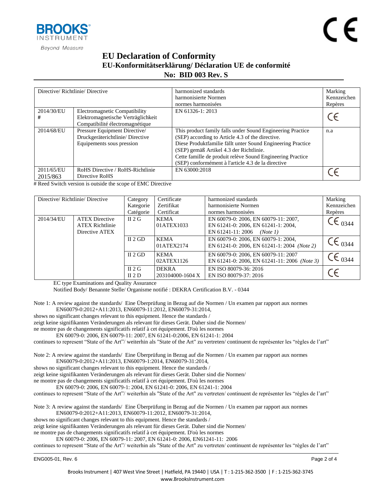

## **EU Declaration of Conformity EU-Konformitätserklärung/ Déclaration UE de conformité No: BID [003](#page-0-0) Rev. [S](#page-0-1)**

| Directive/Richtlinie/Directive |                                                                                                        | harmonized standards<br>harmonisierte Normen<br>normes harmonisées                                                                                                                                                                                                                                                                           | Marking<br>Kennzeichen<br>Repères |
|--------------------------------|--------------------------------------------------------------------------------------------------------|----------------------------------------------------------------------------------------------------------------------------------------------------------------------------------------------------------------------------------------------------------------------------------------------------------------------------------------------|-----------------------------------|
| 2014/30/EU<br>#                | Electromagnetic Compatibility<br>Elektromagnetische Verträglichkeit<br>Compatibilité électromagnétique | EN 61326-1: 2013                                                                                                                                                                                                                                                                                                                             |                                   |
| 2014/68/EU                     | Pressure Equipment Directive/<br>Druckgeräterichtlinie/Directive<br>Equipements sous pression          | This product family falls under Sound Engineering Practice<br>(SEP) according to Article 4.3 of the directive.<br>Diese Produktfamilie fällt unter Sound Engineering Practice<br>(SEP) gemäß Artikel 4.3 der Richtlinie.<br>Cette famille de produit relève Sound Engineering Practice<br>(SEP) conformément à l'article 4.3 de la directive | n.a                               |
| 2011/65/EU<br>2015/863         | RoHS Directive / RoHS-Richtlinie<br>Directive RoHS                                                     | EN 63000:2018                                                                                                                                                                                                                                                                                                                                |                                   |

# Reed Switch version is outside the scope of EMC Directive

| Directive/Richtlinie/Directive |                                          | Category  | Certificate      | harmonized standards                         | Marking                       |
|--------------------------------|------------------------------------------|-----------|------------------|----------------------------------------------|-------------------------------|
|                                |                                          | Kategorie | Zertifikat       | harmonisierte Normen                         | Kennzeichen                   |
|                                |                                          | Catégorie | Certificat       | normes harmonisées                           | Repères                       |
| 2014/34/EU                     | <b>ATEX Directive</b>                    | II 2 G    | <b>KEMA</b>      | EN 60079-0: 2006, EN 60079-11: 2007,         | $\mathcal{C} \epsilon_{0344}$ |
|                                | <b>ATEX Richtlinie</b><br>Directive ATEX |           | 01ATEX1033       | EN 61241-0: 2006, EN 61241-1: 2004,          |                               |
|                                |                                          |           |                  | EN 61241-11: 2006<br>(Note 1)                |                               |
|                                |                                          | II $2$ GD | <b>KEMA</b>      | EN 60079-0: 2006, EN 60079-1: 2004,          | $\mathsf{CE}_{0344}$          |
|                                |                                          |           | 01ATEX2174       | EN 61241-0: 2006, EN 61241-1: 2004 (Note 2)  |                               |
|                                |                                          | II $2$ GD | <b>KEMA</b>      | EN 60079-0: 2006, EN 60079-11: 2007          |                               |
|                                |                                          |           | 02ATEX1126       | EN 61241-0: 2006, EN 61241-11: 2006 (Note 3) | $C_{0344}$                    |
|                                |                                          | II 2 G    | <b>DEKRA</b>     | EN ISO 80079-36: 2016                        |                               |
|                                |                                          | II $2D$   | 203104000-1604 X | EN ISO 80079-37: 2016                        |                               |

EC type Examinations and Quality Assurance

Notified Body/ Benannte Stelle/ Organisme notifié : DEKRA Certification B.V. - 0344

Note 1: A review against the standards/ Eine Überprüfung in Bezug auf die Normen / Un examen par rapport aux normes EN60079-0:2012+A11:2013, EN60079-11:2012, EN60079-31:2014,

shows no significant changes relevant to this equipment. Hence the standards /

zeigt keine signifikanten Veränderungen als relevant für dieses Gerät. Daher sind die Normen/

ne montre pas de changements significatifs relatif à cet équipement. D'où les normes

EN 60079-0: 2006, EN 60079-11: 2007, EN 61241-0:2006, EN 61241-1: 2004

continues to represent "State of the Art"/ weiterhin als "State of the Art" zu vertreten/ continuent de représenter les "règles de l'art"

Note 2: A review against the standards/ Eine Überprüfung in Bezug auf die Normen / Un examen par rapport aux normes EN60079-0:2012+A11:2013, EN60079-1:2014, EN60079-31:2014,

shows no significant changes relevant to this equipment. Hence the standards /

zeigt keine signifikanten Veränderungen als relevant für dieses Gerät. Daher sind die Normen/

ne montre pas de changements significatifs relatif à cet équipement. D'où les normes

EN 60079-0: 2006, EN 60079-1: 2004, EN 61241-0: 2006, EN 61241-1: 2004

continues to represent "State of the Art"/ weiterhin als "State of the Art" zu vertreten/ continuent de représenter les "règles de l'art"

Note 3: A review against the standards/ Eine Überprüfung in Bezug auf die Normen / Un examen par rapport aux normes EN60079-0:2012+A11:2013, EN60079-11:2012, EN60079-31:2014,

shows no significant changes relevant to this equipment. Hence the standards /

zeigt keine signifikanten Veränderungen als relevant für dieses Gerät. Daher sind die Normen/

ne montre pas de changements significatifs relatif à cet équipement. D'où les normes

EN 60079-0: 2006, EN 60079-11: 2007, EN 61241-0: 2006, EN61241-11: 2006

continues to represent "State of the Art"/ weiterhin als "State of the Art" zu vertreten/ continuent de représenter les "règles de l'art"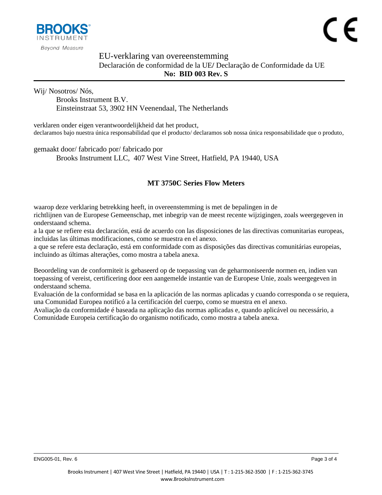

### EU-verklaring van overeenstemming Declaración de conformidad de la UE**/** Declaração de Conformidade da UE **No: BID [003](#page-0-0) Rev. [S](#page-0-1)**

Wij/ Nosotros/ Nós,

Brooks Instrument B.V. Einsteinstraat 53, 3902 HN Veenendaal, The Netherlands

verklaren onder eigen verantwoordelijkheid dat het product, declaramos bajo nuestra única responsabilidad que el producto/ declaramos sob nossa única responsabilidade que o produto,

gemaakt door/ fabricado por/ fabricado por

Brooks Instrument LLC, 407 West Vine Street, Hatfield, PA 19440, USA

### **[MT 3750C Series Flow Meters](#page-0-2)**

waarop deze verklaring betrekking heeft, in overeenstemming is met de bepalingen in de richtlijnen van de Europese Gemeenschap, met inbegrip van de meest recente wijzigingen, zoals weergegeven in onderstaand schema.

a la que se refiere esta declaración, está de acuerdo con las disposiciones de las directivas comunitarias europeas, incluidas las últimas modificaciones, como se muestra en el anexo.

a que se refere esta declaração, está em conformidade com as disposições das directivas comunitárias europeias, incluindo as últimas alterações, como mostra a tabela anexa.

Beoordeling van de conformiteit is gebaseerd op de toepassing van de geharmoniseerde normen en, indien van toepassing of vereist, certificering door een aangemelde instantie van de Europese Unie, zoals weergegeven in onderstaand schema.

Evaluación de la conformidad se basa en la aplicación de las normas aplicadas y cuando corresponda o se requiera, una Comunidad Europea notificó a la certificación del cuerpo, como se muestra en el anexo.

Avaliação da conformidade é baseada na aplicação das normas aplicadas e, quando aplicável ou necessário, a Comunidade Europeia certificação do organismo notificado, como mostra a tabela anexa.